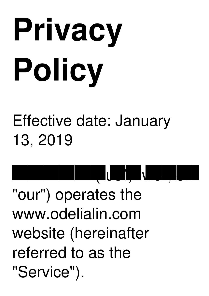# **Privacy Policy**

Effective date: January 13, 2019

, organization est.

**TUBER VERTICE** "our") operates the www.odelialin.com website (hereinafter referred to as the "Service").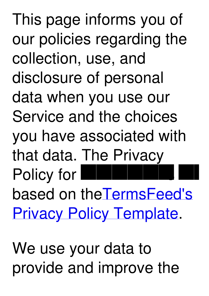This page informs you of our policies regarding the collection, use, and disclosure of personal data when you use our Service and the choices you have associated with that data. The Privacy Policy for based on [theTermsFeed's](https://termsfeed.com/blog/sample-privacy-policy-template/) Privacy Policy Template.

We use your data to provide and improve the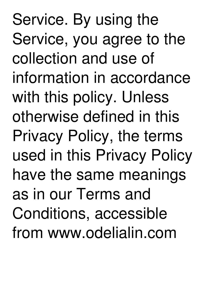Service. By using the Service, you agree to the collection and use of information in accordance with this policy. Unless otherwise defined in this Privacy Policy, the terms used in this Privacy Policy have the same meanings as in our Terms and Conditions, accessible from www.odelialin.com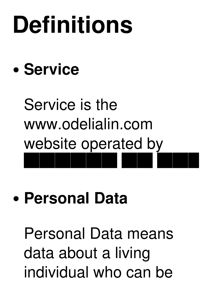### **Definitions**

#### **Service**

### Service is the www.odelialin.com website operated by

#### **Personal Data**

Personal Data means data about a living individual who can be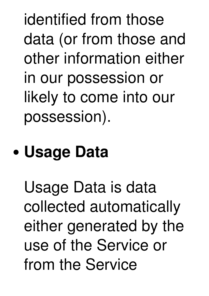identified from those data (or from those and other information either in our possession or likely to come into our possession).

#### **Usage Data**

Usage Data is data collected automatically either generated by the use of the Service or from the Service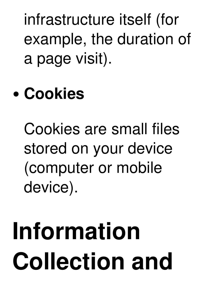infrastructure itself (for example, the duration of a page visit).

#### **Cookies**

Cookies are small files stored on your device (computer or mobile device).

### **Information Collection and**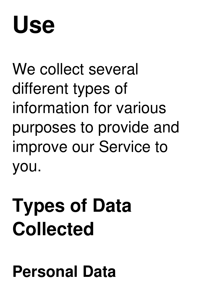### **Use**

#### We collect several different types of information for various purposes to provide and improve our Service to you.

### **Types of Data Collected**

#### **Personal Data**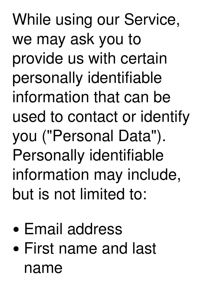While using our Service, we may ask you to provide us with certain personally identifiable information that can be used to contact or identify you ("Personal Data"). Personally identifiable information may include, but is not limited to:

- Email address
- First name and last name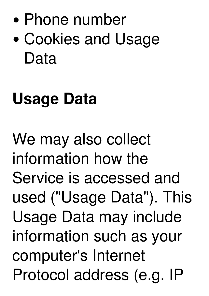#### Phone number Cookies and Usage Data

#### **Usage Data**

We may also collect information how the Service is accessed and used ("Usage Data"). This Usage Data may include information such as your computer's Internet Protocol address (e.g. IP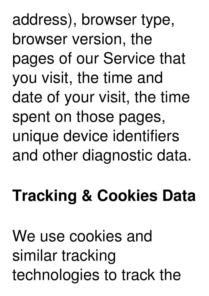address), browser type, browser version, the pages of our Service that you visit, the time and date of your visit, the time spent on those pages, unique device identifiers and other diagnostic data.

#### **Tracking & Cookies Data**

We use cookies and similar tracking technologies to track the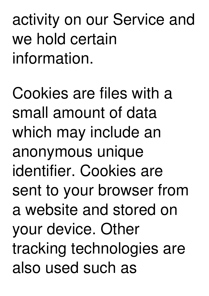activity on our Service and we hold certain information.

Cookies are files with a small amount of data which may include an anonymous unique identifier. Cookies are sent to your browser from a website and stored on your device. Other tracking technologies are also used such as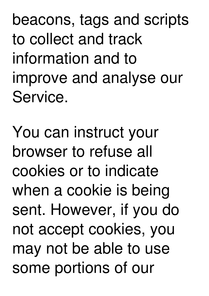beacons, tags and scripts to collect and track information and to improve and analyse our Service.

You can instruct your browser to refuse all cookies or to indicate when a cookie is being sent. However, if you do not accept cookies, you may not be able to use some portions of our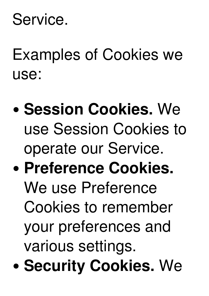#### Service.

Examples of Cookies we use:

- **Session Cookies.** We use Session Cookies to operate our Service.
- **Preference Cookies.** We use Preference Cookies to remember your preferences and various settings.
- **Security Cookies.** We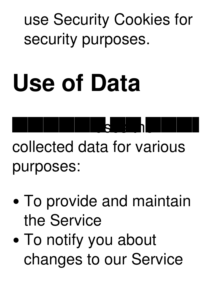#### use Security Cookies for security purposes.

### **Use of Data**

uses the hold of the state collected data for various purposes:

- To provide and maintain the Service
- To notify you about changes to our Service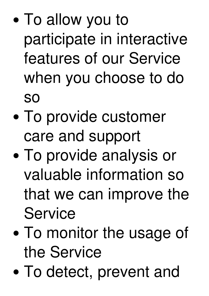- To allow you to participate in interactive features of our Service when you choose to do so
- To provide customer care and support
- To provide analysis or valuable information so that we can improve the **Service**
- To monitor the usage of the Service
- To detect, prevent and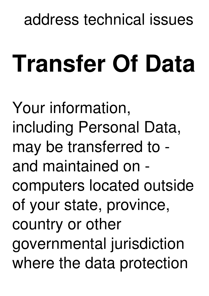#### address technical issues

### **Transfer Of Data**

Your information, including Personal Data, may be transferred to and maintained on computers located outside of your state, province, country or other governmental jurisdiction where the data protection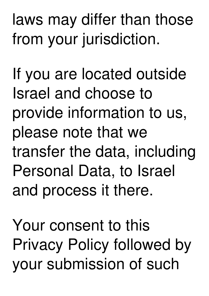#### laws may differ than those from your jurisdiction.

If you are located outside Israel and choose to provide information to us, please note that we transfer the data, including Personal Data, to Israel and process it there.

Your consent to this Privacy Policy followed by your submission of such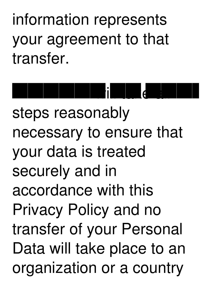information represents your agreement to that transfer.

will be a strong steps reasonably necessary to ensure that your data is treated securely and in accordance with this Privacy Policy and no transfer of your Personal Data will take place to an organization or a country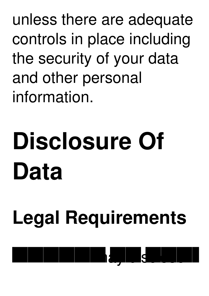unless there are adequate controls in place including the security of your data and other personal information.

# **Disclosure Of Data**

**Legal Requirements**

may language to the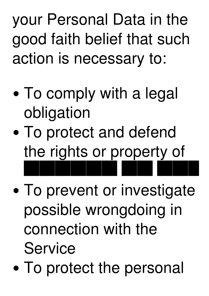your Personal Data in the good faith belief that such action is necessary to:

- To comply with a legal obligation
- To protect and defend the rights or property of
- To prevent or investigate possible wrongdoing in connection with the **Service**
- To protect the personal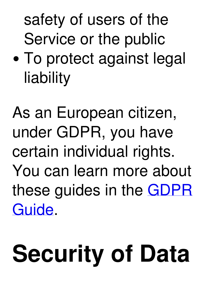safety of users of the Service or the public

To protect against legal liability

As an European citizen, under GDPR, you have certain individual rights. You can learn more about these guides in the GDPR [Guide.](https://termsfeed.com/blog/gdpr/#Individual_Rights_Under_the_GDPR)

# **Security of Data**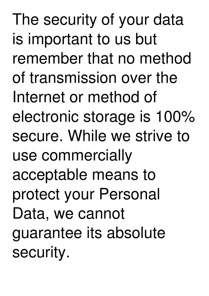The security of your data is important to us but remember that no method of transmission over the Internet or method of electronic storage is 100% secure. While we strive to use commercially acceptable means to protect your Personal Data, we cannot guarantee its absolute security.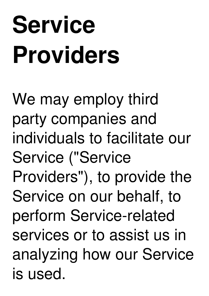# **Service Providers**

We may employ third party companies and individuals to facilitate our Service ("Service Providers"), to provide the Service on our behalf, to perform Service-related services or to assist us in analyzing how our Service is used.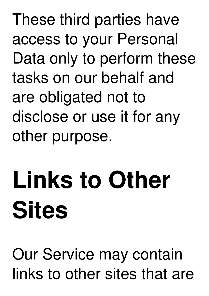These third parties have access to your Personal Data only to perform these tasks on our behalf and are obligated not to disclose or use it for any other purpose.

### **Links to Other Sites**

Our Service may contain links to other sites that are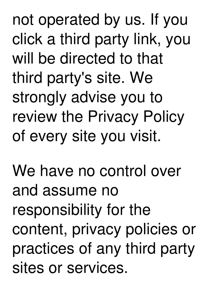not operated by us. If you click a third party link, you will be directed to that third party's site. We strongly advise you to review the Privacy Policy of every site you visit.

We have no control over and assume no responsibility for the content, privacy policies or practices of any third party sites or services.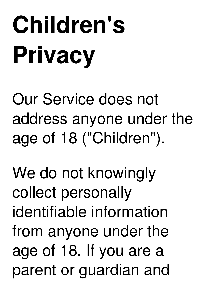# **Children's Privacy**

Our Service does not address anyone under the age of 18 ("Children").

We do not knowingly collect personally identifiable information from anyone under the age of 18. If you are a parent or guardian and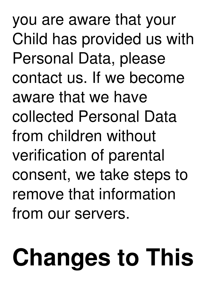you are aware that your Child has provided us with Personal Data, please contact us. If we become aware that we have collected Personal Data from children without verification of parental consent, we take steps to remove that information from our servers.

# **Changes to This**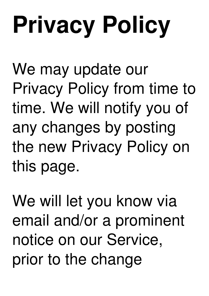# **Privacy Policy**

We may update our Privacy Policy from time to time. We will notify you of any changes by posting the new Privacy Policy on this page.

We will let you know via email and/or a prominent notice on our Service, prior to the change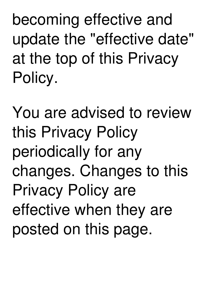becoming effective and update the "effective date" at the top of this Privacy Policy.

You are advised to review this Privacy Policy periodically for any changes. Changes to this Privacy Policy are effective when they are posted on this page.